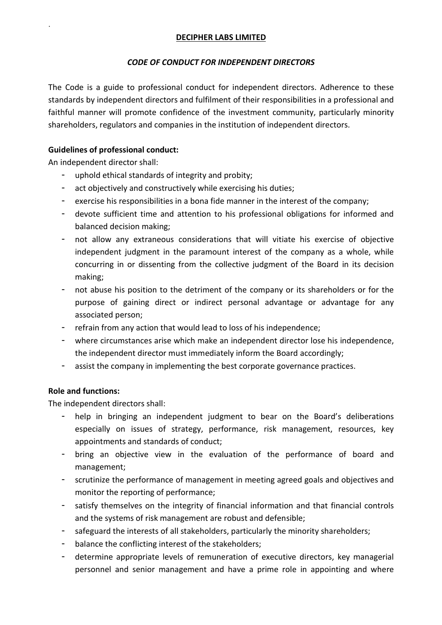## DECIPHER LABS LIMITED

# CODE OF CONDUCT FOR INDEPENDENT DIRECTORS

The Code is a guide to professional conduct for independent directors. Adherence to these standards by independent directors and fulfilment of their responsibilities in a professional and faithful manner will promote confidence of the investment community, particularly minority shareholders, regulators and companies in the institution of independent directors.

# Guidelines of professional conduct:

An independent director shall:

.

- uphold ethical standards of integrity and probity;
- act objectively and constructively while exercising his duties;
- exercise his responsibilities in a bona fide manner in the interest of the company;
- devote sufficient time and attention to his professional obligations for informed and balanced decision making;
- not allow any extraneous considerations that will vitiate his exercise of objective independent judgment in the paramount interest of the company as a whole, while concurring in or dissenting from the collective judgment of the Board in its decision making;
- not abuse his position to the detriment of the company or its shareholders or for the purpose of gaining direct or indirect personal advantage or advantage for any associated person;
- refrain from any action that would lead to loss of his independence;
- where circumstances arise which make an independent director lose his independence, the independent director must immediately inform the Board accordingly;
- assist the company in implementing the best corporate governance practices.

# Role and functions:

The independent directors shall:

- help in bringing an independent judgment to bear on the Board's deliberations especially on issues of strategy, performance, risk management, resources, key appointments and standards of conduct;
- bring an objective view in the evaluation of the performance of board and management;
- scrutinize the performance of management in meeting agreed goals and objectives and monitor the reporting of performance;
- satisfy themselves on the integrity of financial information and that financial controls and the systems of risk management are robust and defensible;
- safeguard the interests of all stakeholders, particularly the minority shareholders;
- balance the conflicting interest of the stakeholders;
- determine appropriate levels of remuneration of executive directors, key managerial personnel and senior management and have a prime role in appointing and where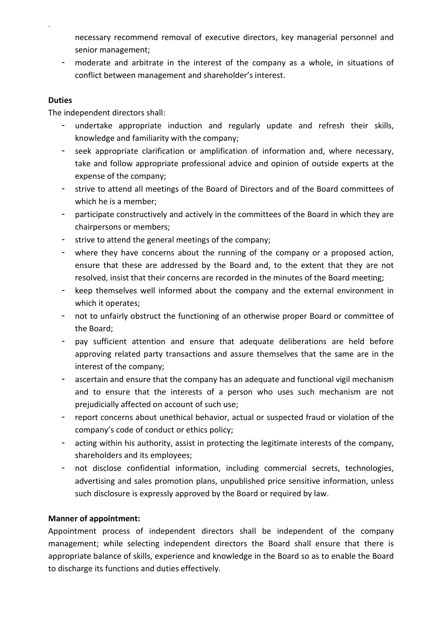necessary recommend removal of executive directors, key managerial personnel and senior management;

- moderate and arbitrate in the interest of the company as a whole, in situations of conflict between management and shareholder's interest.

## **Duties**

.

The independent directors shall:

- undertake appropriate induction and regularly update and refresh their skills, knowledge and familiarity with the company;
- seek appropriate clarification or amplification of information and, where necessary, take and follow appropriate professional advice and opinion of outside experts at the expense of the company;
- strive to attend all meetings of the Board of Directors and of the Board committees of which he is a member;
- participate constructively and actively in the committees of the Board in which they are chairpersons or members;
- strive to attend the general meetings of the company;
- where they have concerns about the running of the company or a proposed action, ensure that these are addressed by the Board and, to the extent that they are not resolved, insist that their concerns are recorded in the minutes of the Board meeting;
- keep themselves well informed about the company and the external environment in which it operates;
- not to unfairly obstruct the functioning of an otherwise proper Board or committee of the Board;
- pay sufficient attention and ensure that adequate deliberations are held before approving related party transactions and assure themselves that the same are in the interest of the company;
- ascertain and ensure that the company has an adequate and functional vigil mechanism and to ensure that the interests of a person who uses such mechanism are not prejudicially affected on account of such use;
- report concerns about unethical behavior, actual or suspected fraud or violation of the company's code of conduct or ethics policy;
- acting within his authority, assist in protecting the legitimate interests of the company, shareholders and its employees;
- not disclose confidential information, including commercial secrets, technologies, advertising and sales promotion plans, unpublished price sensitive information, unless such disclosure is expressly approved by the Board or required by law.

# Manner of appointment:

Appointment process of independent directors shall be independent of the company management; while selecting independent directors the Board shall ensure that there is appropriate balance of skills, experience and knowledge in the Board so as to enable the Board to discharge its functions and duties effectively.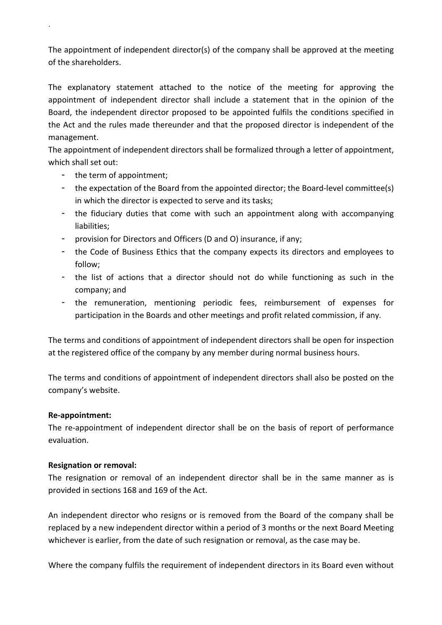The appointment of independent director(s) of the company shall be approved at the meeting of the shareholders.

The explanatory statement attached to the notice of the meeting for approving the appointment of independent director shall include a statement that in the opinion of the Board, the independent director proposed to be appointed fulfils the conditions specified in the Act and the rules made thereunder and that the proposed director is independent of the management.

The appointment of independent directors shall be formalized through a letter of appointment, which shall set out:

the term of appointment;

.

- the expectation of the Board from the appointed director; the Board-level committee(s) in which the director is expected to serve and its tasks;
- the fiduciary duties that come with such an appointment along with accompanying liabilities;
- provision for Directors and Officers (D and O) insurance, if any;
- the Code of Business Ethics that the company expects its directors and employees to follow;
- the list of actions that a director should not do while functioning as such in the company; and
- the remuneration, mentioning periodic fees, reimbursement of expenses for participation in the Boards and other meetings and profit related commission, if any.

The terms and conditions of appointment of independent directors shall be open for inspection at the registered office of the company by any member during normal business hours.

The terms and conditions of appointment of independent directors shall also be posted on the company's website.

## Re-appointment:

The re-appointment of independent director shall be on the basis of report of performance evaluation.

## Resignation or removal:

The resignation or removal of an independent director shall be in the same manner as is provided in sections 168 and 169 of the Act.

An independent director who resigns or is removed from the Board of the company shall be replaced by a new independent director within a period of 3 months or the next Board Meeting whichever is earlier, from the date of such resignation or removal, as the case may be.

Where the company fulfils the requirement of independent directors in its Board even without